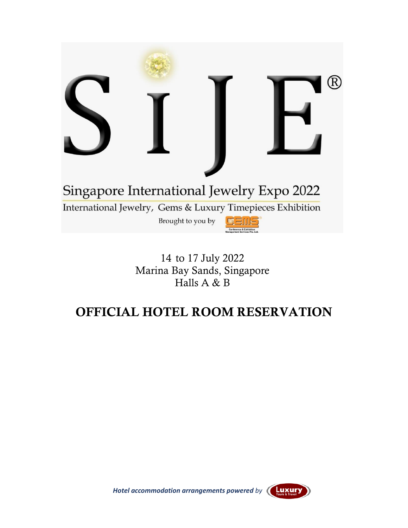

14 to 17 July 2022 Marina Bay Sands, Singapore Halls A & B

## **OFFICIAL HOTEL ROOM RESERVATION**



*Hotel accommodation arrangements powered by*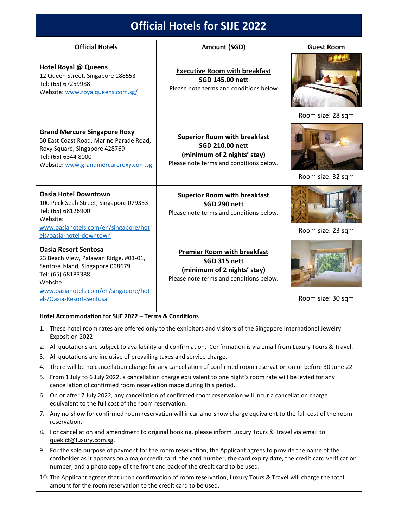## **Official Hotels for SIJE 2022**

| <b>Official Hotels</b>                                                                                                                                                                                         | Amount (SGD)                                                                                                                            | <b>Guest Room</b> |  |  |
|----------------------------------------------------------------------------------------------------------------------------------------------------------------------------------------------------------------|-----------------------------------------------------------------------------------------------------------------------------------------|-------------------|--|--|
| <b>Hotel Royal @ Queens</b><br>12 Queen Street, Singapore 188553<br>Tel: (65) 67259988<br>Website: www.royalqueens.com.sg/                                                                                     | <b>Executive Room with breakfast</b><br><b>SGD 145.00 nett</b><br>Please note terms and conditions below                                | Room size: 28 sqm |  |  |
| <b>Grand Mercure Singapore Roxy</b><br>50 East Coast Road, Marine Parade Road,<br>Roxy Square, Singapore 428769<br>Tel: (65) 6344 8000<br>Website: www.grandmercureroxy.com.sg                                 | <b>Superior Room with breakfast</b><br><b>SGD 210.00 nett</b><br>(minimum of 2 nights' stay)<br>Please note terms and conditions below. | Room size: 32 sqm |  |  |
| <b>Oasia Hotel Downtown</b><br>100 Peck Seah Street, Singapore 079333<br>Tel: (65) 68126900<br>Website:<br>www.oasiahotels.com/en/singapore/hot<br>els/oasia-hotel-downtown                                    | <b>Superior Room with breakfast</b><br>SGD 290 nett<br>Please note terms and conditions below.                                          | Room size: 23 sqm |  |  |
| <b>Oasia Resort Sentosa</b><br>23 Beach View, Palawan Ridge, #01-01,<br>Sentosa Island, Singapore 098679<br>Tel: (65) 68183388<br>Website:<br>www.oasiahotels.com/en/singapore/hot<br>els/Oasia-Resort-Sentosa | <b>Premier Room with breakfast</b><br>SGD 315 nett<br>(minimum of 2 nights' stay)<br>Please note terms and conditions below.            | Room size: 30 sqm |  |  |
| Hotel Accommodation for SIJE 2022 - Terms & Conditions<br>These hotel room rates are offered only to the exhibitors and visitors of the Singapore International Jewelry<br>1.<br>Exposition 2022               |                                                                                                                                         |                   |  |  |

- 2. All quotations are subject to availability and confirmation. Confirmation is via email from Luxury Tours & Travel.
- 3. All quotations are inclusive of prevailing taxes and service charge.
- 4. There will be no cancellation charge for any cancellation of confirmed room reservation on or before 30 June 22.
- 5. From 1 July to 6 July 2022, a cancellation charge equivalent to one night's room rate will be levied for any cancellation of confirmed room reservation made during this period.
- 6. On or after 7 July 2022, any cancellation of confirmed room reservation will incur a cancellation charge equivalent to the full cost of the room reservation.
- 7. Any no-show for confirmed room reservation will incur a no-show charge equivalent to the full cost of the room reservation.
- 8. For cancellation and amendment to original booking, please inform Luxury Tours & Travel via email to [quek.ct@luxury.com.sg.](mailto:quek.ct@luxury.com.sg)
- 9. For the sole purpose of payment for the room reservation, the Applicant agrees to provide the name of the cardholder as it appears on a major credit card, the card number, the card expiry date, the credit card verification number, and a photo copy of the front and back of the credit card to be used.
- 10. The Applicant agrees that upon confirmation of room reservation, Luxury Tours & Travel will charge the total amount for the room reservation to the credit card to be used.